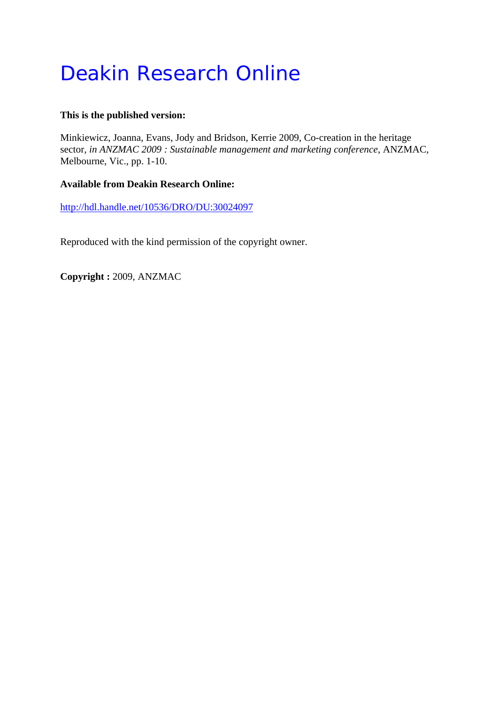# Deakin Research Online

## **This is the published version:**

Minkiewicz, Joanna, Evans, Jody and Bridson, Kerrie 2009, Co-creation in the heritage sector*, in ANZMAC 2009 : Sustainable management and marketing conference*, ANZMAC, Melbourne, Vic., pp. 1-10.

# **Available from Deakin Research Online:**

http://hdl.handle.net/10536/DRO/DU:30024097

Reproduced with the kind permission of the copyright owner.

**Copyright :** 2009, ANZMAC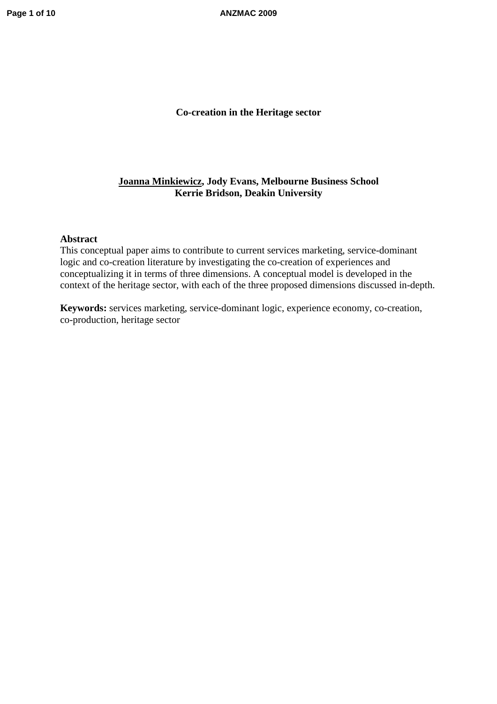**Page 1 of 10 ANZMAC 2009**

## **Co-creation in the Heritage sector**

## **Joanna Minkiewicz, Jody Evans, Melbourne Business School Kerrie Bridson, Deakin University**

#### **Abstract**

This conceptual paper aims to contribute to current services marketing, service-dominant logic and co-creation literature by investigating the co-creation of experiences and conceptualizing it in terms of three dimensions. A conceptual model is developed in the context of the heritage sector, with each of the three proposed dimensions discussed in-depth.

**Keywords:** services marketing, service-dominant logic, experience economy, co-creation, co-production, heritage sector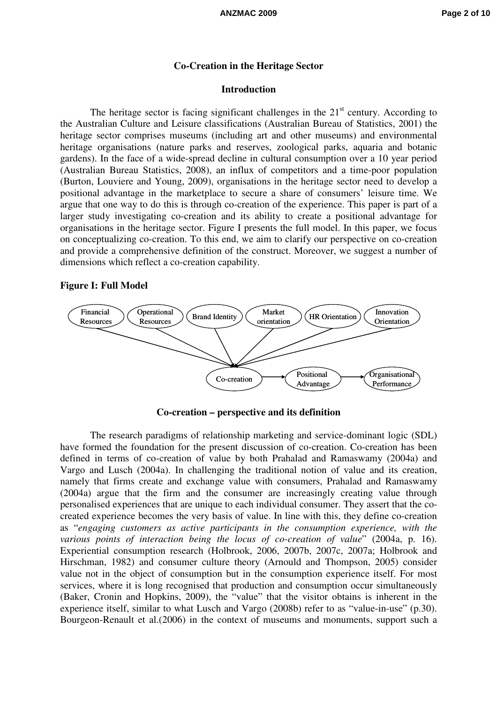#### **Co-Creation in the Heritage Sector**

### **Introduction**

The heritage sector is facing significant challenges in the  $21<sup>st</sup>$  century. According to the Australian Culture and Leisure classifications (Australian Bureau of Statistics, 2001) the heritage sector comprises museums (including art and other museums) and environmental heritage organisations (nature parks and reserves, zoological parks, aquaria and botanic gardens). In the face of a wide-spread decline in cultural consumption over a 10 year period (Australian Bureau Statistics, 2008), an influx of competitors and a time-poor population (Burton, Louviere and Young, 2009), organisations in the heritage sector need to develop a positional advantage in the marketplace to secure a share of consumers' leisure time. We argue that one way to do this is through co-creation of the experience. This paper is part of a larger study investigating co-creation and its ability to create a positional advantage for organisations in the heritage sector. Figure I presents the full model. In this paper, we focus on conceptualizing co-creation. To this end, we aim to clarify our perspective on co-creation and provide a comprehensive definition of the construct. Moreover, we suggest a number of dimensions which reflect a co-creation capability.

#### **Figure I: Full Model**



**Co-creation – perspective and its definition** 

The research paradigms of relationship marketing and service-dominant logic (SDL) have formed the foundation for the present discussion of co-creation. Co-creation has been defined in terms of co-creation of value by both Prahalad and Ramaswamy (2004a) and Vargo and Lusch (2004a). In challenging the traditional notion of value and its creation, namely that firms create and exchange value with consumers, Prahalad and Ramaswamy (2004a) argue that the firm and the consumer are increasingly creating value through personalised experiences that are unique to each individual consumer. They assert that the cocreated experience becomes the very basis of value. In line with this, they define co-creation as "*engaging customers as active participants in the consumption experience, with the various points of interaction being the locus of co-creation of value*" (2004a, p. 16). Experiential consumption research (Holbrook, 2006, 2007b, 2007c, 2007a; Holbrook and Hirschman, 1982) and consumer culture theory (Arnould and Thompson, 2005) consider value not in the object of consumption but in the consumption experience itself. For most services, where it is long recognised that production and consumption occur simultaneously (Baker, Cronin and Hopkins, 2009), the "value" that the visitor obtains is inherent in the experience itself, similar to what Lusch and Vargo (2008b) refer to as "value-in-use" (p.30). Bourgeon-Renault et al.(2006) in the context of museums and monuments, support such a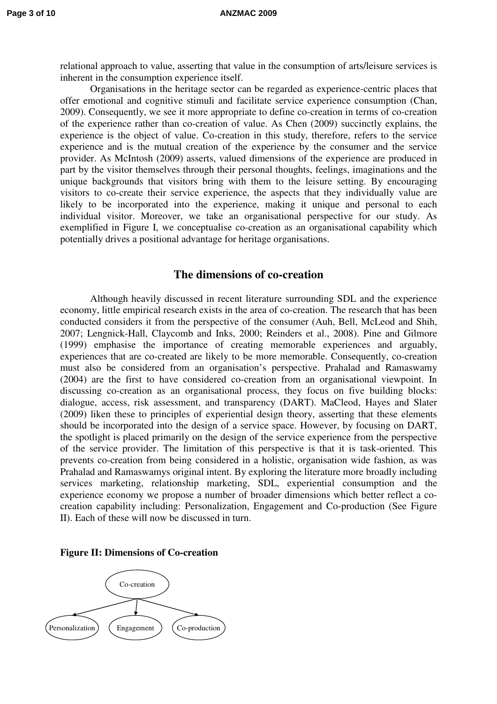relational approach to value, asserting that value in the consumption of arts/leisure services is inherent in the consumption experience itself.

Organisations in the heritage sector can be regarded as experience-centric places that offer emotional and cognitive stimuli and facilitate service experience consumption (Chan, 2009). Consequently, we see it more appropriate to define co-creation in terms of co-creation of the experience rather than co-creation of value. As Chen (2009) succinctly explains, the experience is the object of value. Co-creation in this study, therefore, refers to the service experience and is the mutual creation of the experience by the consumer and the service provider. As McIntosh (2009) asserts, valued dimensions of the experience are produced in part by the visitor themselves through their personal thoughts, feelings, imaginations and the unique backgrounds that visitors bring with them to the leisure setting. By encouraging visitors to co-create their service experience, the aspects that they individually value are likely to be incorporated into the experience, making it unique and personal to each individual visitor. Moreover, we take an organisational perspective for our study. As exemplified in Figure I, we conceptualise co-creation as an organisational capability which potentially drives a positional advantage for heritage organisations.

## **The dimensions of co-creation**

Although heavily discussed in recent literature surrounding SDL and the experience economy, little empirical research exists in the area of co-creation. The research that has been conducted considers it from the perspective of the consumer (Auh, Bell, McLeod and Shih, 2007; Lengnick-Hall, Claycomb and Inks, 2000; Reinders et al., 2008). Pine and Gilmore (1999) emphasise the importance of creating memorable experiences and arguably, experiences that are co-created are likely to be more memorable. Consequently, co-creation must also be considered from an organisation's perspective. Prahalad and Ramaswamy (2004) are the first to have considered co-creation from an organisational viewpoint. In discussing co-creation as an organisational process, they focus on five building blocks: dialogue, access, risk assessment, and transparency (DART). MaCleod, Hayes and Slater (2009) liken these to principles of experiential design theory, asserting that these elements should be incorporated into the design of a service space. However, by focusing on DART, the spotlight is placed primarily on the design of the service experience from the perspective of the service provider. The limitation of this perspective is that it is task-oriented. This prevents co-creation from being considered in a holistic, organisation wide fashion, as was Prahalad and Ramaswamys original intent. By exploring the literature more broadly including services marketing, relationship marketing, SDL, experiential consumption and the experience economy we propose a number of broader dimensions which better reflect a cocreation capability including: Personalization, Engagement and Co-production (See Figure II). Each of these will now be discussed in turn.



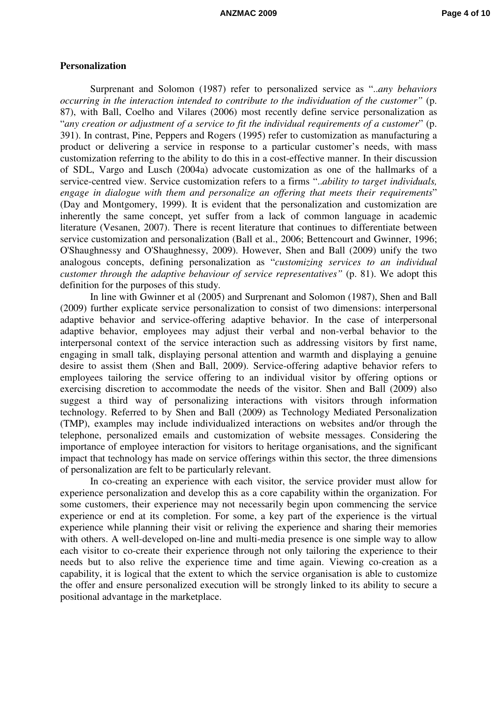#### **Personalization**

Surprenant and Solomon (1987) refer to personalized service as "..*any behaviors occurring in the interaction intended to contribute to the individuation of the customer"* (p. 87), with Ball, Coelho and Vilares (2006) most recently define service personalization as "*any creation or adjustment of a service to fit the individual requirements of a customer*" (p. 391). In contrast, Pine, Peppers and Rogers (1995) refer to customization as manufacturing a product or delivering a service in response to a particular customer's needs, with mass customization referring to the ability to do this in a cost-effective manner. In their discussion of SDL, Vargo and Lusch (2004a) advocate customization as one of the hallmarks of a service-centred view. Service customization refers to a firms "..*ability to target individuals, engage in dialogue with them and personalize an offering that meets their requirements*" (Day and Montgomery, 1999). It is evident that the personalization and customization are inherently the same concept, yet suffer from a lack of common language in academic literature (Vesanen, 2007). There is recent literature that continues to differentiate between service customization and personalization (Ball et al., 2006; Bettencourt and Gwinner, 1996; O'Shaughnessy and O'Shaughnessy, 2009). However, Shen and Ball (2009) unify the two analogous concepts, defining personalization as "*customizing services to an individual customer through the adaptive behaviour of service representatives"* (p. 81). We adopt this definition for the purposes of this study.

In line with Gwinner et al (2005) and Surprenant and Solomon (1987), Shen and Ball (2009) further explicate service personalization to consist of two dimensions: interpersonal adaptive behavior and service-offering adaptive behavior. In the case of interpersonal adaptive behavior, employees may adjust their verbal and non-verbal behavior to the interpersonal context of the service interaction such as addressing visitors by first name, engaging in small talk, displaying personal attention and warmth and displaying a genuine desire to assist them (Shen and Ball, 2009). Service-offering adaptive behavior refers to employees tailoring the service offering to an individual visitor by offering options or exercising discretion to accommodate the needs of the visitor. Shen and Ball (2009) also suggest a third way of personalizing interactions with visitors through information technology. Referred to by Shen and Ball (2009) as Technology Mediated Personalization (TMP), examples may include individualized interactions on websites and/or through the telephone, personalized emails and customization of website messages. Considering the importance of employee interaction for visitors to heritage organisations, and the significant impact that technology has made on service offerings within this sector, the three dimensions of personalization are felt to be particularly relevant.

In co-creating an experience with each visitor, the service provider must allow for experience personalization and develop this as a core capability within the organization. For some customers, their experience may not necessarily begin upon commencing the service experience or end at its completion. For some, a key part of the experience is the virtual experience while planning their visit or reliving the experience and sharing their memories with others. A well-developed on-line and multi-media presence is one simple way to allow each visitor to co-create their experience through not only tailoring the experience to their needs but to also relive the experience time and time again. Viewing co-creation as a capability, it is logical that the extent to which the service organisation is able to customize the offer and ensure personalized execution will be strongly linked to its ability to secure a positional advantage in the marketplace.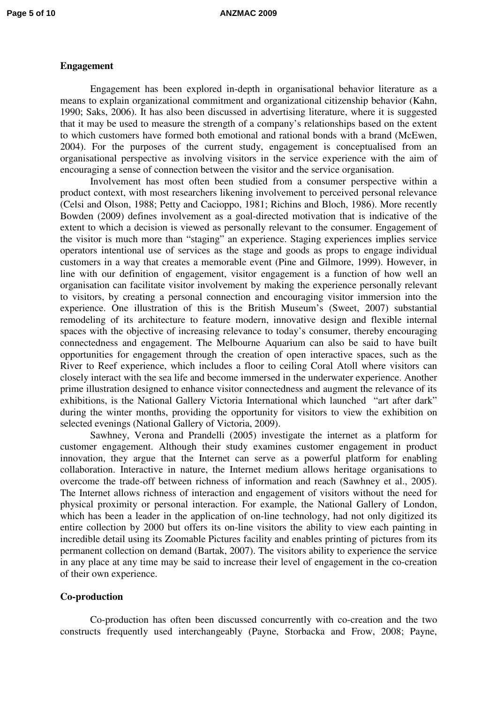#### **Engagement**

Engagement has been explored in-depth in organisational behavior literature as a means to explain organizational commitment and organizational citizenship behavior (Kahn, 1990; Saks, 2006). It has also been discussed in advertising literature, where it is suggested that it may be used to measure the strength of a company's relationships based on the extent to which customers have formed both emotional and rational bonds with a brand (McEwen, 2004). For the purposes of the current study, engagement is conceptualised from an organisational perspective as involving visitors in the service experience with the aim of encouraging a sense of connection between the visitor and the service organisation.

Involvement has most often been studied from a consumer perspective within a product context, with most researchers likening involvement to perceived personal relevance (Celsi and Olson, 1988; Petty and Cacioppo, 1981; Richins and Bloch, 1986). More recently Bowden (2009) defines involvement as a goal-directed motivation that is indicative of the extent to which a decision is viewed as personally relevant to the consumer. Engagement of the visitor is much more than "staging" an experience. Staging experiences implies service operators intentional use of services as the stage and goods as props to engage individual customers in a way that creates a memorable event (Pine and Gilmore, 1999). However, in line with our definition of engagement, visitor engagement is a function of how well an organisation can facilitate visitor involvement by making the experience personally relevant to visitors, by creating a personal connection and encouraging visitor immersion into the experience. One illustration of this is the British Museum's (Sweet, 2007) substantial remodeling of its architecture to feature modern, innovative design and flexible internal spaces with the objective of increasing relevance to today's consumer, thereby encouraging connectedness and engagement. The Melbourne Aquarium can also be said to have built opportunities for engagement through the creation of open interactive spaces, such as the River to Reef experience, which includes a floor to ceiling Coral Atoll where visitors can closely interact with the sea life and become immersed in the underwater experience. Another prime illustration designed to enhance visitor connectedness and augment the relevance of its exhibitions, is the National Gallery Victoria International which launched "art after dark" during the winter months, providing the opportunity for visitors to view the exhibition on selected evenings (National Gallery of Victoria, 2009).

Sawhney, Verona and Prandelli (2005) investigate the internet as a platform for customer engagement. Although their study examines customer engagement in product innovation, they argue that the Internet can serve as a powerful platform for enabling collaboration. Interactive in nature, the Internet medium allows heritage organisations to overcome the trade-off between richness of information and reach (Sawhney et al., 2005). The Internet allows richness of interaction and engagement of visitors without the need for physical proximity or personal interaction. For example, the National Gallery of London, which has been a leader in the application of on-line technology, had not only digitized its entire collection by 2000 but offers its on-line visitors the ability to view each painting in incredible detail using its Zoomable Pictures facility and enables printing of pictures from its permanent collection on demand (Bartak, 2007). The visitors ability to experience the service in any place at any time may be said to increase their level of engagement in the co-creation of their own experience.

## **Co-production**

Co-production has often been discussed concurrently with co-creation and the two constructs frequently used interchangeably (Payne, Storbacka and Frow, 2008; Payne,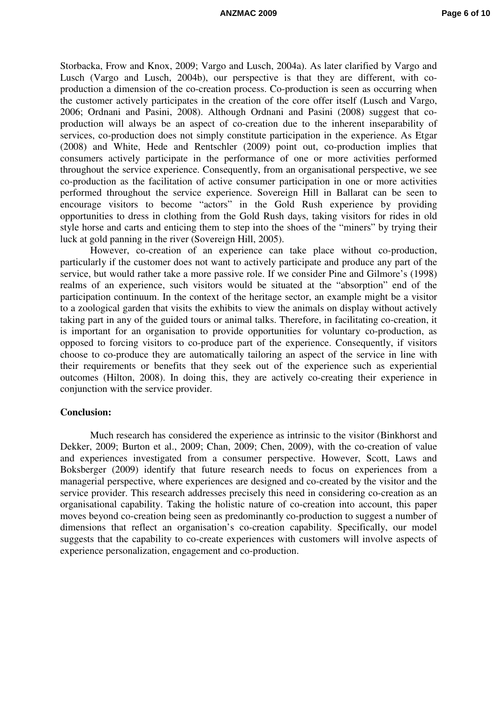Storbacka, Frow and Knox, 2009; Vargo and Lusch, 2004a). As later clarified by Vargo and Lusch (Vargo and Lusch, 2004b), our perspective is that they are different, with coproduction a dimension of the co-creation process. Co-production is seen as occurring when the customer actively participates in the creation of the core offer itself (Lusch and Vargo, 2006; Ordnani and Pasini, 2008). Although Ordnani and Pasini (2008) suggest that coproduction will always be an aspect of co-creation due to the inherent inseparability of services, co-production does not simply constitute participation in the experience. As Etgar (2008) and White, Hede and Rentschler (2009) point out, co-production implies that consumers actively participate in the performance of one or more activities performed throughout the service experience. Consequently, from an organisational perspective, we see co-production as the facilitation of active consumer participation in one or more activities performed throughout the service experience. Sovereign Hill in Ballarat can be seen to encourage visitors to become "actors" in the Gold Rush experience by providing opportunities to dress in clothing from the Gold Rush days, taking visitors for rides in old style horse and carts and enticing them to step into the shoes of the "miners" by trying their luck at gold panning in the river (Sovereign Hill, 2005).

However, co-creation of an experience can take place without co-production, particularly if the customer does not want to actively participate and produce any part of the service, but would rather take a more passive role. If we consider Pine and Gilmore's (1998) realms of an experience, such visitors would be situated at the "absorption" end of the participation continuum. In the context of the heritage sector, an example might be a visitor to a zoological garden that visits the exhibits to view the animals on display without actively taking part in any of the guided tours or animal talks. Therefore, in facilitating co-creation, it is important for an organisation to provide opportunities for voluntary co-production, as opposed to forcing visitors to co-produce part of the experience. Consequently, if visitors choose to co-produce they are automatically tailoring an aspect of the service in line with their requirements or benefits that they seek out of the experience such as experiential outcomes (Hilton, 2008). In doing this, they are actively co-creating their experience in conjunction with the service provider.

#### **Conclusion:**

Much research has considered the experience as intrinsic to the visitor (Binkhorst and Dekker, 2009; Burton et al., 2009; Chan, 2009; Chen, 2009), with the co-creation of value and experiences investigated from a consumer perspective. However, Scott, Laws and Boksberger (2009) identify that future research needs to focus on experiences from a managerial perspective, where experiences are designed and co-created by the visitor and the service provider. This research addresses precisely this need in considering co-creation as an organisational capability. Taking the holistic nature of co-creation into account, this paper moves beyond co-creation being seen as predominantly co-production to suggest a number of dimensions that reflect an organisation's co-creation capability. Specifically, our model suggests that the capability to co-create experiences with customers will involve aspects of experience personalization, engagement and co-production.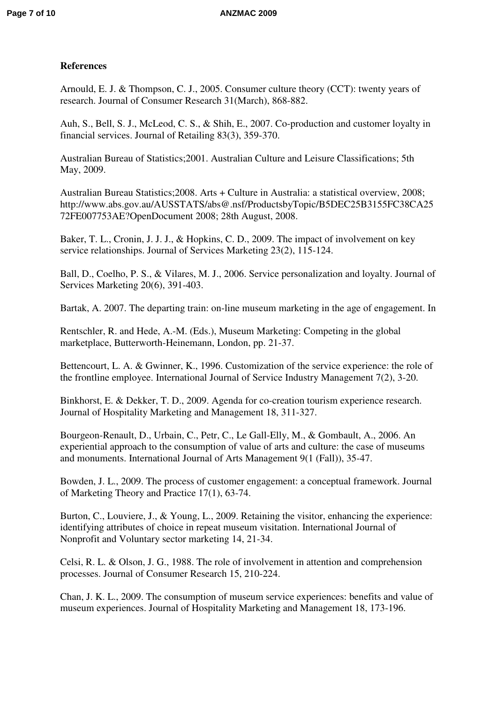# **References**

Arnould, E. J. & Thompson, C. J., 2005. Consumer culture theory (CCT): twenty years of research. Journal of Consumer Research 31(March), 868-882.

Auh, S., Bell, S. J., McLeod, C. S., & Shih, E., 2007. Co-production and customer loyalty in financial services. Journal of Retailing 83(3), 359-370.

Australian Bureau of Statistics;2001. Australian Culture and Leisure Classifications; 5th May, 2009.

Australian Bureau Statistics;2008. Arts + Culture in Australia: a statistical overview, 2008; http://www.abs.gov.au/AUSSTATS/abs@.nsf/ProductsbyTopic/B5DEC25B3155FC38CA25 72FE007753AE?OpenDocument 2008; 28th August, 2008.

Baker, T. L., Cronin, J. J. J., & Hopkins, C. D., 2009. The impact of involvement on key service relationships. Journal of Services Marketing 23(2), 115-124.

Ball, D., Coelho, P. S., & Vilares, M. J., 2006. Service personalization and loyalty. Journal of Services Marketing 20(6), 391-403.

Bartak, A. 2007. The departing train: on-line museum marketing in the age of engagement. In

Rentschler, R. and Hede, A.-M. (Eds.), Museum Marketing: Competing in the global marketplace, Butterworth-Heinemann, London, pp. 21-37.

Bettencourt, L. A. & Gwinner, K., 1996. Customization of the service experience: the role of the frontline employee. International Journal of Service Industry Management 7(2), 3-20.

Binkhorst, E. & Dekker, T. D., 2009. Agenda for co-creation tourism experience research. Journal of Hospitality Marketing and Management 18, 311-327.

Bourgeon-Renault, D., Urbain, C., Petr, C., Le Gall-Elly, M., & Gombault, A., 2006. An experiential approach to the consumption of value of arts and culture: the case of museums and monuments. International Journal of Arts Management 9(1 (Fall)), 35-47.

Bowden, J. L., 2009. The process of customer engagement: a conceptual framework. Journal of Marketing Theory and Practice 17(1), 63-74.

Burton, C., Louviere, J., & Young, L., 2009. Retaining the visitor, enhancing the experience: identifying attributes of choice in repeat museum visitation. International Journal of Nonprofit and Voluntary sector marketing 14, 21-34.

Celsi, R. L. & Olson, J. G., 1988. The role of involvement in attention and comprehension processes. Journal of Consumer Research 15, 210-224.

Chan, J. K. L., 2009. The consumption of museum service experiences: benefits and value of museum experiences. Journal of Hospitality Marketing and Management 18, 173-196.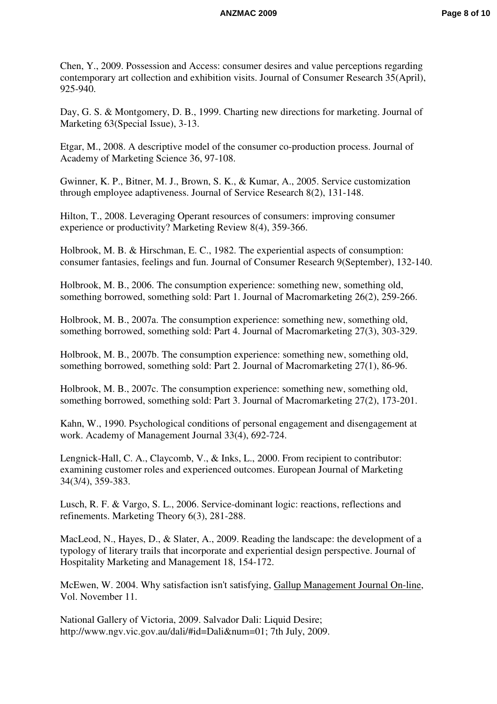Chen, Y., 2009. Possession and Access: consumer desires and value perceptions regarding contemporary art collection and exhibition visits. Journal of Consumer Research 35(April), 925-940.

Day, G. S. & Montgomery, D. B., 1999. Charting new directions for marketing. Journal of Marketing 63(Special Issue), 3-13.

Etgar, M., 2008. A descriptive model of the consumer co-production process. Journal of Academy of Marketing Science 36, 97-108.

Gwinner, K. P., Bitner, M. J., Brown, S. K., & Kumar, A., 2005. Service customization through employee adaptiveness. Journal of Service Research 8(2), 131-148.

Hilton, T., 2008. Leveraging Operant resources of consumers: improving consumer experience or productivity? Marketing Review 8(4), 359-366.

Holbrook, M. B. & Hirschman, E. C., 1982. The experiential aspects of consumption: consumer fantasies, feelings and fun. Journal of Consumer Research 9(September), 132-140.

Holbrook, M. B., 2006. The consumption experience: something new, something old, something borrowed, something sold: Part 1. Journal of Macromarketing 26(2), 259-266.

Holbrook, M. B., 2007a. The consumption experience: something new, something old, something borrowed, something sold: Part 4. Journal of Macromarketing 27(3), 303-329.

Holbrook, M. B., 2007b. The consumption experience: something new, something old, something borrowed, something sold: Part 2. Journal of Macromarketing 27(1), 86-96.

Holbrook, M. B., 2007c. The consumption experience: something new, something old, something borrowed, something sold: Part 3. Journal of Macromarketing 27(2), 173-201.

Kahn, W., 1990. Psychological conditions of personal engagement and disengagement at work. Academy of Management Journal 33(4), 692-724.

Lengnick-Hall, C. A., Claycomb, V., & Inks, L., 2000. From recipient to contributor: examining customer roles and experienced outcomes. European Journal of Marketing 34(3/4), 359-383.

Lusch, R. F. & Vargo, S. L., 2006. Service-dominant logic: reactions, reflections and refinements. Marketing Theory 6(3), 281-288.

MacLeod, N., Hayes, D., & Slater, A., 2009. Reading the landscape: the development of a typology of literary trails that incorporate and experiential design perspective. Journal of Hospitality Marketing and Management 18, 154-172.

McEwen, W. 2004. Why satisfaction isn't satisfying, Gallup Management Journal On-line, Vol. November 11.

National Gallery of Victoria, 2009. Salvador Dali: Liquid Desire; http://www.ngv.vic.gov.au/dali/#id=Dali&num=01; 7th July, 2009.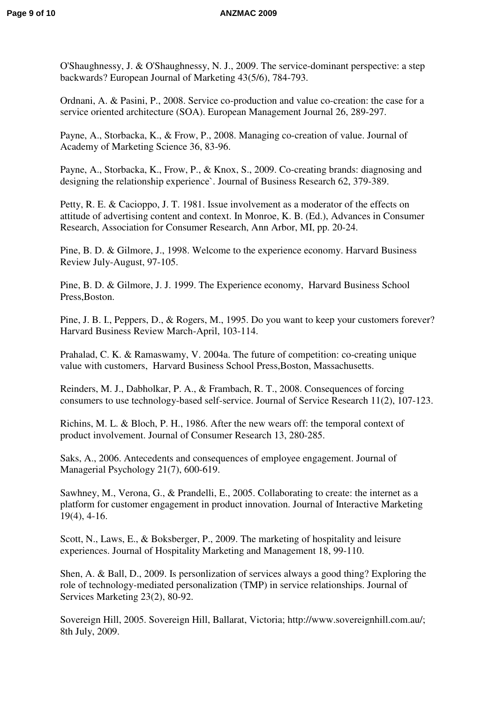O'Shaughnessy, J. & O'Shaughnessy, N. J., 2009. The service-dominant perspective: a step backwards? European Journal of Marketing 43(5/6), 784-793.

Ordnani, A. & Pasini, P., 2008. Service co-production and value co-creation: the case for a service oriented architecture (SOA). European Management Journal 26, 289-297.

Payne, A., Storbacka, K., & Frow, P., 2008. Managing co-creation of value. Journal of Academy of Marketing Science 36, 83-96.

Payne, A., Storbacka, K., Frow, P., & Knox, S., 2009. Co-creating brands: diagnosing and designing the relationship experience`. Journal of Business Research 62, 379-389.

Petty, R. E. & Cacioppo, J. T. 1981. Issue involvement as a moderator of the effects on attitude of advertising content and context. In Monroe, K. B. (Ed.), Advances in Consumer Research, Association for Consumer Research, Ann Arbor, MI, pp. 20-24.

Pine, B. D. & Gilmore, J., 1998. Welcome to the experience economy. Harvard Business Review July-August, 97-105.

Pine, B. D. & Gilmore, J. J. 1999. The Experience economy, Harvard Business School Press,Boston.

Pine, J. B. I., Peppers, D., & Rogers, M., 1995. Do you want to keep your customers forever? Harvard Business Review March-April, 103-114.

Prahalad, C. K. & Ramaswamy, V. 2004a. The future of competition: co-creating unique value with customers, Harvard Business School Press,Boston, Massachusetts.

Reinders, M. J., Dabholkar, P. A., & Frambach, R. T., 2008. Consequences of forcing consumers to use technology-based self-service. Journal of Service Research 11(2), 107-123.

Richins, M. L. & Bloch, P. H., 1986. After the new wears off: the temporal context of product involvement. Journal of Consumer Research 13, 280-285.

Saks, A., 2006. Antecedents and consequences of employee engagement. Journal of Managerial Psychology 21(7), 600-619.

Sawhney, M., Verona, G., & Prandelli, E., 2005. Collaborating to create: the internet as a platform for customer engagement in product innovation. Journal of Interactive Marketing 19(4), 4-16.

Scott, N., Laws, E., & Boksberger, P., 2009. The marketing of hospitality and leisure experiences. Journal of Hospitality Marketing and Management 18, 99-110.

Shen, A. & Ball, D., 2009. Is personlization of services always a good thing? Exploring the role of technology-mediated personalization (TMP) in service relationships. Journal of Services Marketing 23(2), 80-92.

Sovereign Hill, 2005. Sovereign Hill, Ballarat, Victoria; http://www.sovereignhill.com.au/; 8th July, 2009.